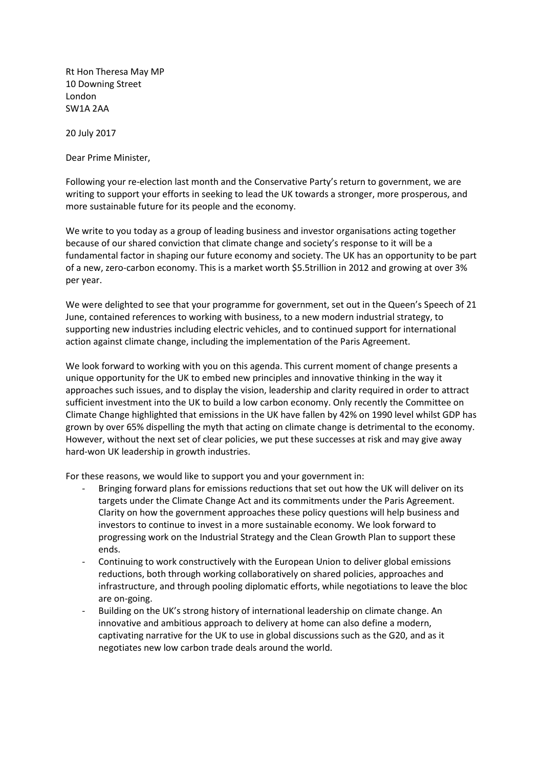Rt Hon Theresa May MP 10 Downing Street London SW1A 2AA

20 July 2017

Dear Prime Minister,

Following your re-election last month and the Conservative Party's return to government, we are writing to support your efforts in seeking to lead the UK towards a stronger, more prosperous, and more sustainable future for its people and the economy.

We write to you today as a group of leading business and investor organisations acting together because of our shared conviction that climate change and society's response to it will be a fundamental factor in shaping our future economy and society. The UK has an opportunity to be part of a new, zero-carbon economy. This is a market worth \$5.5trillion in 2012 and growing at over 3% per year.

We were delighted to see that your programme for government, set out in the Queen's Speech of 21 June, contained references to working with business, to a new modern industrial strategy, to supporting new industries including electric vehicles, and to continued support for international action against climate change, including the implementation of the Paris Agreement.

We look forward to working with you on this agenda. This current moment of change presents a unique opportunity for the UK to embed new principles and innovative thinking in the way it approaches such issues, and to display the vision, leadership and clarity required in order to attract sufficient investment into the UK to build a low carbon economy. Only recently the Committee on Climate Change highlighted that emissions in the UK have fallen by 42% on 1990 level whilst GDP has grown by over 65% dispelling the myth that acting on climate change is detrimental to the economy. However, without the next set of clear policies, we put these successes at risk and may give away hard-won UK leadership in growth industries.

For these reasons, we would like to support you and your government in:

- Bringing forward plans for emissions reductions that set out how the UK will deliver on its targets under the Climate Change Act and its commitments under the Paris Agreement. Clarity on how the government approaches these policy questions will help business and investors to continue to invest in a more sustainable economy. We look forward to progressing work on the Industrial Strategy and the Clean Growth Plan to support these ends.
- Continuing to work constructively with the European Union to deliver global emissions reductions, both through working collaboratively on shared policies, approaches and infrastructure, and through pooling diplomatic efforts, while negotiations to leave the bloc are on-going.
- Building on the UK's strong history of international leadership on climate change. An innovative and ambitious approach to delivery at home can also define a modern, captivating narrative for the UK to use in global discussions such as the G20, and as it negotiates new low carbon trade deals around the world.